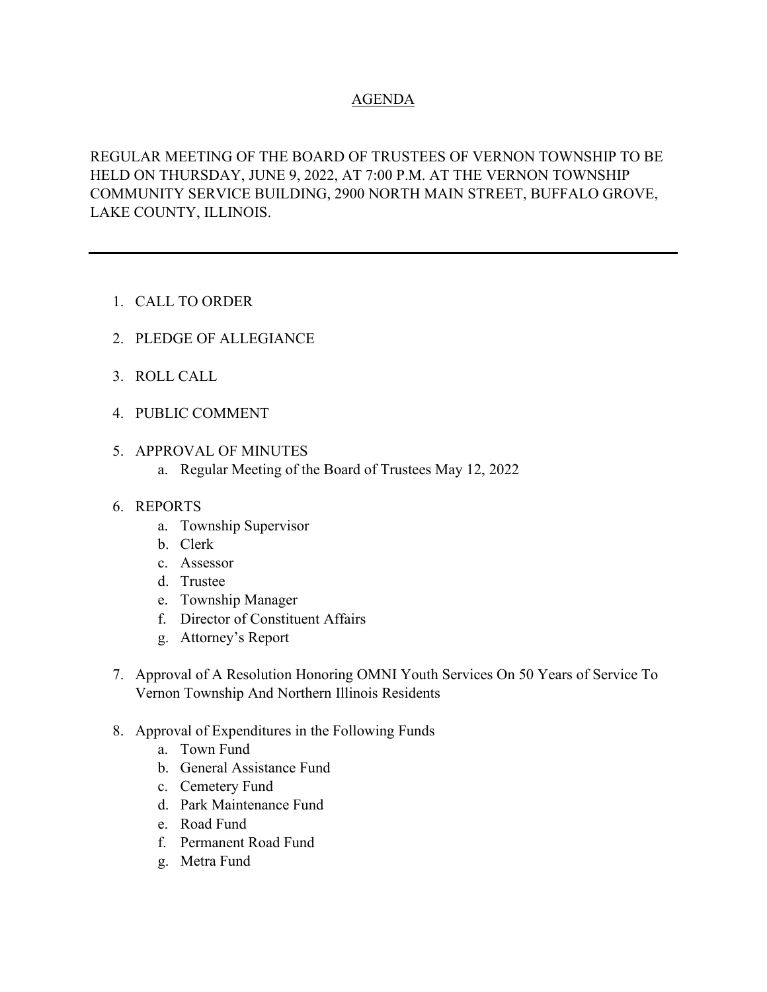## AGENDA

REGULAR MEETING OF THE BOARD OF TRUSTEES OF VERNON TOWNSHIP TO BE HELD ON THURSDAY, JUNE 9, 2022, AT 7:00 P.M. AT THE VERNON TOWNSHIP COMMUNITY SERVICE BUILDING, 2900 NORTH MAIN STREET, BUFFALO GROVE, LAKE COUNTY, ILLINOIS.

- 1. CALL TO ORDER
- 2. PLEDGE OF ALLEGIANCE
- 3. ROLL CALL
- 4. PUBLIC COMMENT
- 5. APPROVAL OF MINUTES
	- a. Regular Meeting of the Board of Trustees May 12, 2022

#### 6. REPORTS

- a. Township Supervisor
- b. Clerk
- c. Assessor
- d. Trustee
- e. Township Manager
- f. Director of Constituent Affairs
- g. Attorney's Report
- 7. Approval of A Resolution Honoring OMNI Youth Services On 50 Years of Service To Vernon Township And Northern Illinois Residents
- 8. Approval of Expenditures in the Following Funds
	- a. Town Fund
	- b. General Assistance Fund
	- c. Cemetery Fund
	- d. Park Maintenance Fund
	- e. Road Fund
	- f. Permanent Road Fund
	- g. Metra Fund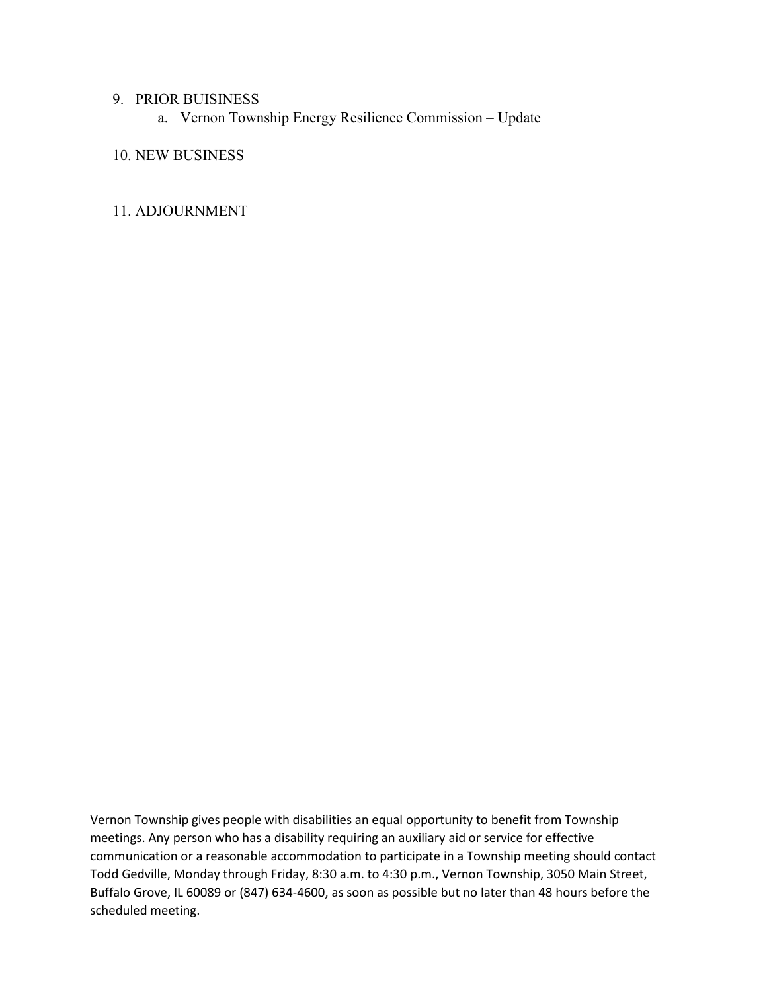#### 9. PRIOR BUISINESS

a. Vernon Township Energy Resilience Commission – Update

10. NEW BUSINESS

#### 11. ADJOURNMENT

Vernon Township gives people with disabilities an equal opportunity to benefit from Township meetings. Any person who has a disability requiring an auxiliary aid or service for effective communication or a reasonable accommodation to participate in a Township meeting should contact Todd Gedville, Monday through Friday, 8:30 a.m. to 4:30 p.m., Vernon Township, 3050 Main Street, Buffalo Grove, IL 60089 or (847) 634-4600, as soon as possible but no later than 48 hours before the scheduled meeting.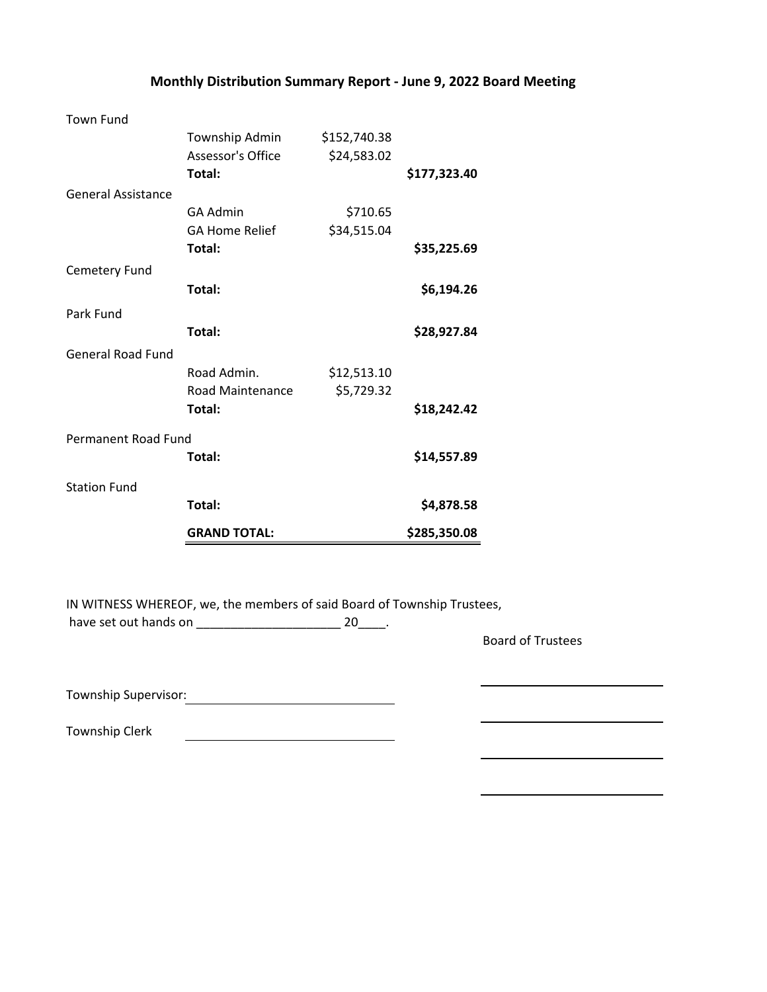| Monthly Distribution Summary Report - June 9, 2022 Board Meeting |  |  |  |
|------------------------------------------------------------------|--|--|--|
|------------------------------------------------------------------|--|--|--|

| <b>Town Fund</b>          |                          |              |              |
|---------------------------|--------------------------|--------------|--------------|
|                           | Township Admin           | \$152,740.38 |              |
|                           | <b>Assessor's Office</b> | \$24,583.02  |              |
|                           | Total:                   |              | \$177,323.40 |
| <b>General Assistance</b> |                          |              |              |
|                           | GA Admin                 | \$710.65     |              |
|                           | <b>GA Home Relief</b>    | \$34,515.04  |              |
|                           | Total:                   |              | \$35,225.69  |
| Cemetery Fund             |                          |              |              |
|                           | Total:                   |              | \$6,194.26   |
| Park Fund                 |                          |              |              |
|                           | Total:                   |              | \$28,927.84  |
| <b>General Road Fund</b>  |                          |              |              |
|                           | Road Admin.              | \$12,513.10  |              |
|                           | Road Maintenance         | \$5,729.32   |              |
|                           | Total:                   |              | \$18,242.42  |
| Permanent Road Fund       |                          |              |              |
|                           | Total:                   |              | \$14,557.89  |
|                           |                          |              |              |
| <b>Station Fund</b>       |                          |              |              |
|                           | Total:                   |              | \$4,878.58   |
|                           | <b>GRAND TOTAL:</b>      |              | \$285,350.08 |

IN WITNESS WHEREOF, we, the members of said Board of Township Trustees, have set out hands on \_\_\_\_\_\_\_\_\_\_\_\_\_\_\_\_\_\_\_\_\_\_\_\_\_\_\_\_\_\_\_\_ 20\_\_\_\_\_.

<u> 1990 - Johann Barbara, martin a</u>

Board of Trustees

Township Supervisor: Manual Community of Township Supervisor:

Township Clerk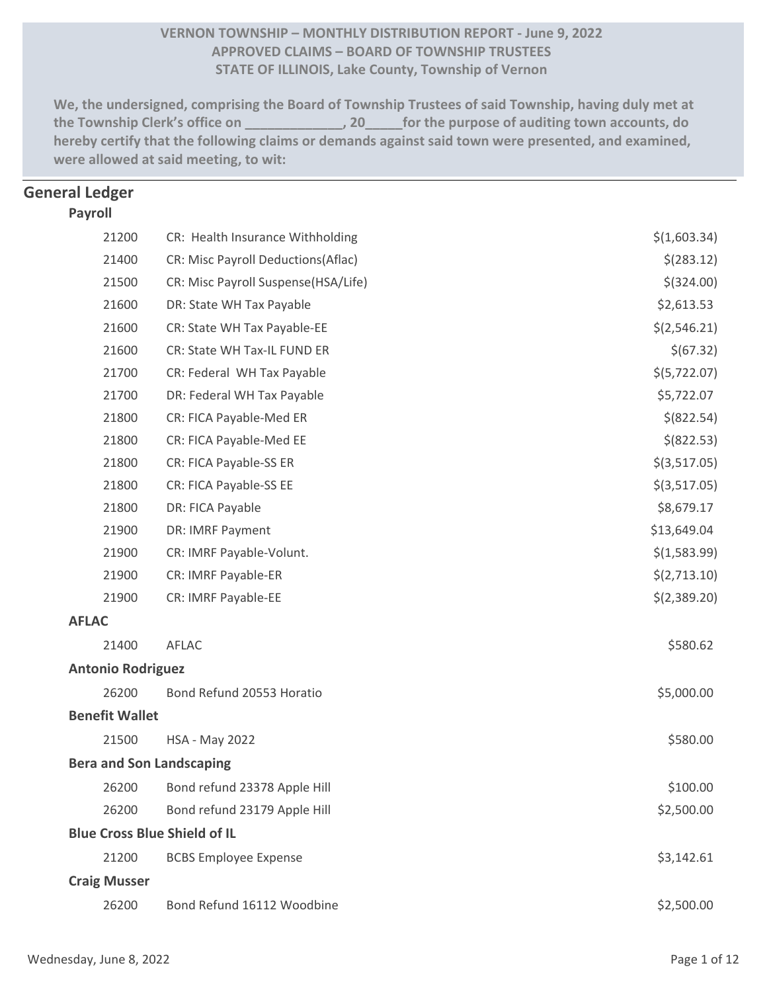## **VERNON TOWNSHIP – MONTHLY DISTRIBUTION REPORT ‐ June 9, 2022 APPROVED CLAIMS – BOARD OF TOWNSHIP TRUSTEES STATE OF ILLINOIS, Lake County, Township of Vernon**

**We, the undersigned, comprising the Board of Township Trustees of said Township, having duly met at the Township Clerk's office on \_\_\_\_\_\_\_\_\_\_\_\_\_, 20\_\_\_\_\_for the purpose of auditing town accounts, do hereby certify that the following claims or demands against said town were presented, and examined, were allowed at said meeting, to wit:**

## <sup>0</sup> **General Ledger**

#### **Payroll**

|              | 21200                    | CR: Health Insurance Withholding    | \$(1,603.34)   |
|--------------|--------------------------|-------------------------------------|----------------|
|              | 21400                    | CR: Misc Payroll Deductions(Aflac)  | \$(283.12)     |
|              | 21500                    | CR: Misc Payroll Suspense(HSA/Life) | $$$ (324.00)   |
|              | 21600                    | DR: State WH Tax Payable            | \$2,613.53     |
|              | 21600                    | CR: State WH Tax Payable-EE         | \$(2, 546.21)  |
|              | 21600                    | CR: State WH Tax-IL FUND ER         | \$(67.32)      |
|              | 21700                    | CR: Federal WH Tax Payable          | \$(5,722.07)   |
|              | 21700                    | DR: Federal WH Tax Payable          | \$5,722.07     |
|              | 21800                    | CR: FICA Payable-Med ER             | \$ (822.54)    |
|              | 21800                    | CR: FICA Payable-Med EE             | \$ (822.53)    |
|              | 21800                    | CR: FICA Payable-SS ER              | $$$ (3,517.05) |
|              | 21800                    | CR: FICA Payable-SS EE              | $$$ (3,517.05) |
|              | 21800                    | DR: FICA Payable                    | \$8,679.17     |
|              | 21900                    | DR: IMRF Payment                    | \$13,649.04    |
|              | 21900                    | CR: IMRF Payable-Volunt.            | \$(1,583.99)   |
|              | 21900                    | CR: IMRF Payable-ER                 | \$(2,713.10)   |
|              | 21900                    | CR: IMRF Payable-EE                 | \$(2,389.20)   |
| <b>AFLAC</b> |                          |                                     |                |
|              | 21400                    | AFLAC                               | \$580.62       |
|              | <b>Antonio Rodriguez</b> |                                     |                |
|              | 26200                    | Bond Refund 20553 Horatio           | \$5,000.00     |
|              | <b>Benefit Wallet</b>    |                                     |                |
|              | 21500                    | <b>HSA - May 2022</b>               | \$580.00       |
|              |                          | <b>Bera and Son Landscaping</b>     |                |
|              | 26200                    | Bond refund 23378 Apple Hill        | \$100.00       |
|              | 26200                    | Bond refund 23179 Apple Hill        | \$2,500.00     |
|              |                          | <b>Blue Cross Blue Shield of IL</b> |                |
|              | 21200                    | <b>BCBS Employee Expense</b>        | \$3,142.61     |
|              | <b>Craig Musser</b>      |                                     |                |
|              | 26200                    | Bond Refund 16112 Woodbine          | \$2,500.00     |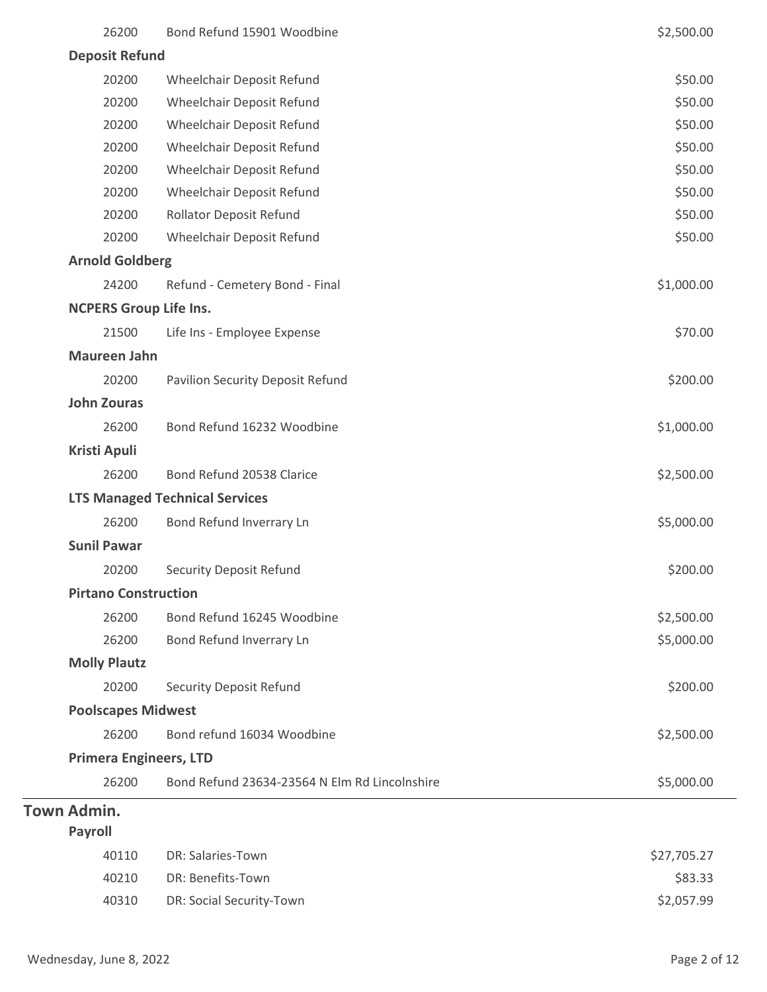| 26200                         | Bond Refund 15901 Woodbine                    | \$2,500.00  |
|-------------------------------|-----------------------------------------------|-------------|
| <b>Deposit Refund</b>         |                                               |             |
| 20200                         | Wheelchair Deposit Refund                     | \$50.00     |
| 20200                         | Wheelchair Deposit Refund                     | \$50.00     |
| 20200                         | Wheelchair Deposit Refund                     | \$50.00     |
| 20200                         | Wheelchair Deposit Refund                     | \$50.00     |
| 20200                         | Wheelchair Deposit Refund                     | \$50.00     |
| 20200                         | Wheelchair Deposit Refund                     | \$50.00     |
| 20200                         | <b>Rollator Deposit Refund</b>                | \$50.00     |
| 20200                         | Wheelchair Deposit Refund                     | \$50.00     |
| <b>Arnold Goldberg</b>        |                                               |             |
| 24200                         | Refund - Cemetery Bond - Final                | \$1,000.00  |
| <b>NCPERS Group Life Ins.</b> |                                               |             |
| 21500                         | Life Ins - Employee Expense                   | \$70.00     |
| <b>Maureen Jahn</b>           |                                               |             |
| 20200                         | <b>Pavilion Security Deposit Refund</b>       | \$200.00    |
| <b>John Zouras</b>            |                                               |             |
| 26200                         | Bond Refund 16232 Woodbine                    | \$1,000.00  |
| <b>Kristi Apuli</b>           |                                               |             |
| 26200                         | Bond Refund 20538 Clarice                     | \$2,500.00  |
|                               | <b>LTS Managed Technical Services</b>         |             |
| 26200                         | Bond Refund Inverrary Ln                      | \$5,000.00  |
| <b>Sunil Pawar</b>            |                                               |             |
| 20200                         | <b>Security Deposit Refund</b>                | \$200.00    |
| <b>Pirtano Construction</b>   |                                               |             |
| 26200                         | Bond Refund 16245 Woodbine                    | \$2,500.00  |
| 26200                         | Bond Refund Inverrary Ln                      | \$5,000.00  |
| <b>Molly Plautz</b>           |                                               |             |
| 20200                         | <b>Security Deposit Refund</b>                | \$200.00    |
| <b>Poolscapes Midwest</b>     |                                               |             |
| 26200                         | Bond refund 16034 Woodbine                    | \$2,500.00  |
| <b>Primera Engineers, LTD</b> |                                               |             |
| 26200                         | Bond Refund 23634-23564 N Elm Rd Lincolnshire | \$5,000.00  |
| <b>Town Admin.</b>            |                                               |             |
| <b>Payroll</b>                |                                               |             |
| 40110                         | DR: Salaries-Town                             | \$27,705.27 |
| 40210                         | DR: Benefits-Town                             | \$83.33     |
| 40310                         | DR: Social Security-Town                      | \$2,057.99  |
|                               |                                               |             |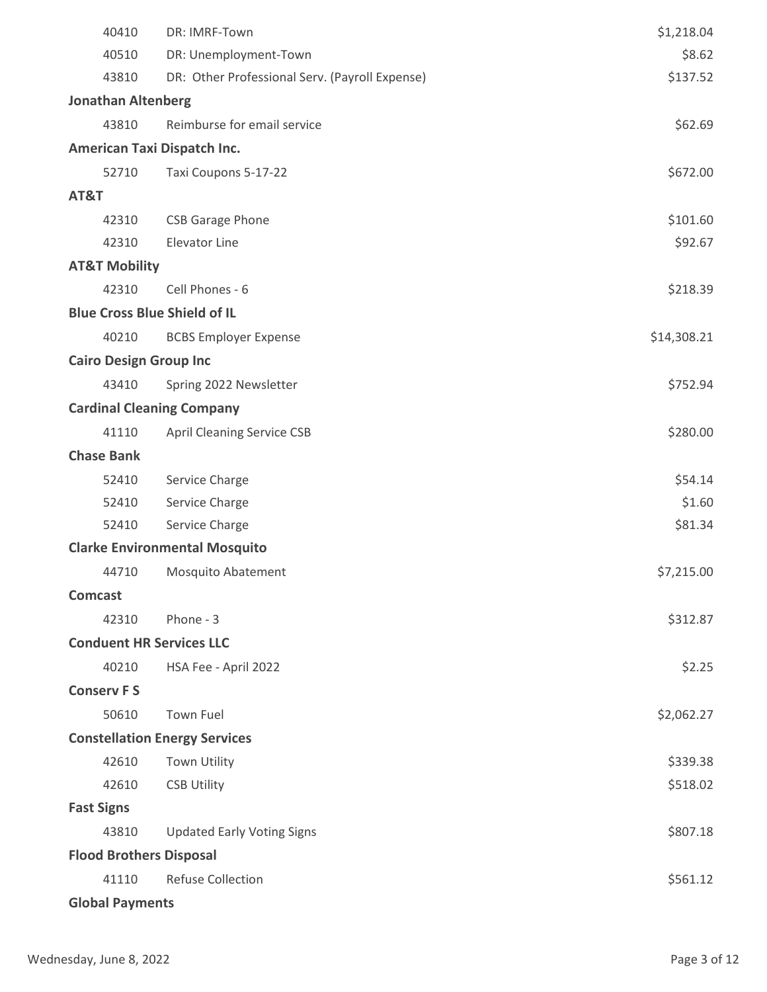| 40410                           | DR: IMRF-Town                                  | \$1,218.04  |
|---------------------------------|------------------------------------------------|-------------|
| 40510                           | DR: Unemployment-Town                          | \$8.62      |
| 43810                           | DR: Other Professional Serv. (Payroll Expense) | \$137.52    |
| <b>Jonathan Altenberg</b>       |                                                |             |
| 43810                           | Reimburse for email service                    | \$62.69     |
|                                 | American Taxi Dispatch Inc.                    |             |
| 52710                           | Taxi Coupons 5-17-22                           | \$672.00    |
| AT&T                            |                                                |             |
| 42310                           | <b>CSB Garage Phone</b>                        | \$101.60    |
| 42310                           | <b>Elevator Line</b>                           | \$92.67     |
| <b>AT&amp;T Mobility</b>        |                                                |             |
| 42310                           | Cell Phones - 6                                | \$218.39    |
|                                 | <b>Blue Cross Blue Shield of IL</b>            |             |
| 40210                           | <b>BCBS Employer Expense</b>                   | \$14,308.21 |
| <b>Cairo Design Group Inc</b>   |                                                |             |
| 43410                           | Spring 2022 Newsletter                         | \$752.94    |
|                                 | <b>Cardinal Cleaning Company</b>               |             |
| 41110                           | <b>April Cleaning Service CSB</b>              | \$280.00    |
| <b>Chase Bank</b>               |                                                |             |
| 52410                           | Service Charge                                 | \$54.14     |
| 52410                           | Service Charge                                 | \$1.60      |
| 52410                           | Service Charge                                 | \$81.34     |
|                                 | <b>Clarke Environmental Mosquito</b>           |             |
| 44710                           | <b>Mosquito Abatement</b>                      | \$7,215.00  |
| <b>Comcast</b>                  |                                                |             |
| 42310                           | Phone - 3                                      | \$312.87    |
| <b>Conduent HR Services LLC</b> |                                                |             |
| 40210                           | HSA Fee - April 2022                           | \$2.25      |
| <b>Conserv FS</b>               |                                                |             |
| 50610                           | <b>Town Fuel</b>                               | \$2,062.27  |
|                                 | <b>Constellation Energy Services</b>           |             |
| 42610                           | <b>Town Utility</b>                            | \$339.38    |
| 42610                           | <b>CSB Utility</b>                             | \$518.02    |
| <b>Fast Signs</b>               |                                                |             |
| 43810                           | <b>Updated Early Voting Signs</b>              | \$807.18    |
| <b>Flood Brothers Disposal</b>  |                                                |             |
| 41110                           | <b>Refuse Collection</b>                       | \$561.12    |
| <b>Global Payments</b>          |                                                |             |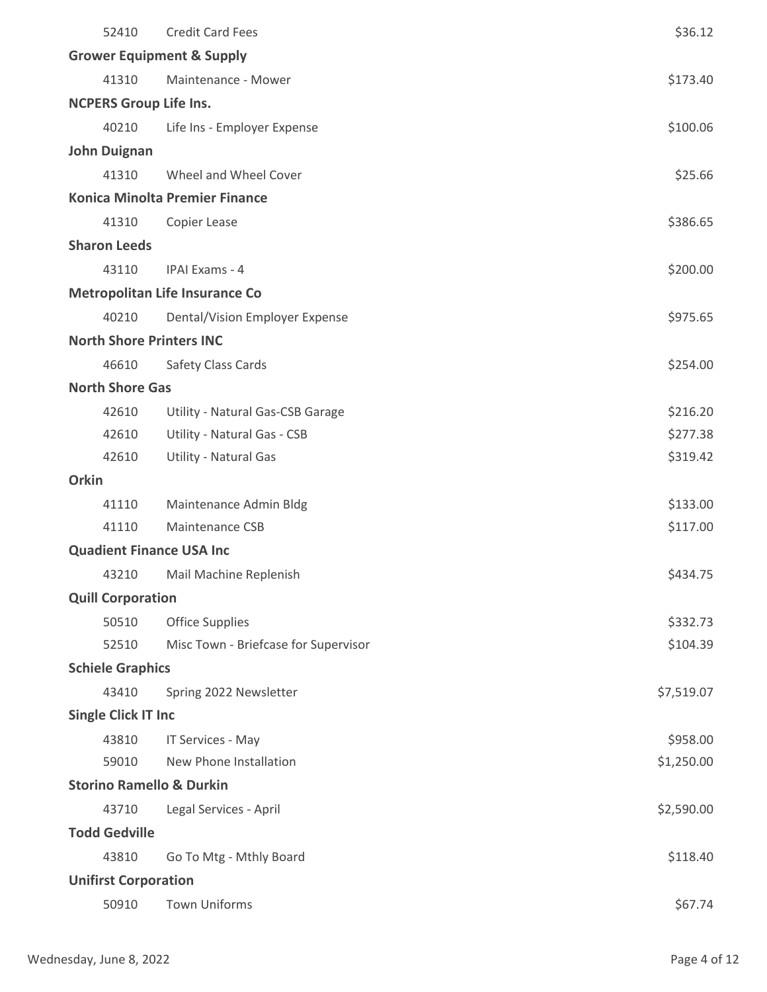| 52410                               | <b>Credit Card Fees</b>               | \$36.12    |  |  |
|-------------------------------------|---------------------------------------|------------|--|--|
|                                     | <b>Grower Equipment &amp; Supply</b>  |            |  |  |
| 41310                               | Maintenance - Mower                   | \$173.40   |  |  |
| <b>NCPERS Group Life Ins.</b>       |                                       |            |  |  |
| 40210                               | Life Ins - Employer Expense           | \$100.06   |  |  |
| <b>John Duignan</b>                 |                                       |            |  |  |
| 41310                               | Wheel and Wheel Cover                 | \$25.66    |  |  |
|                                     | <b>Konica Minolta Premier Finance</b> |            |  |  |
| 41310                               | Copier Lease                          | \$386.65   |  |  |
| <b>Sharon Leeds</b>                 |                                       |            |  |  |
| 43110                               | <b>IPAI Exams - 4</b>                 | \$200.00   |  |  |
|                                     | <b>Metropolitan Life Insurance Co</b> |            |  |  |
| 40210                               | Dental/Vision Employer Expense        | \$975.65   |  |  |
| <b>North Shore Printers INC</b>     |                                       |            |  |  |
| 46610                               | Safety Class Cards                    | \$254.00   |  |  |
| <b>North Shore Gas</b>              |                                       |            |  |  |
| 42610                               | Utility - Natural Gas-CSB Garage      | \$216.20   |  |  |
| 42610                               | Utility - Natural Gas - CSB           | \$277.38   |  |  |
| 42610                               | Utility - Natural Gas                 | \$319.42   |  |  |
| <b>Orkin</b>                        |                                       |            |  |  |
| 41110                               | Maintenance Admin Bldg                | \$133.00   |  |  |
| 41110                               | <b>Maintenance CSB</b>                | \$117.00   |  |  |
| <b>Quadient Finance USA Inc</b>     |                                       |            |  |  |
| 43210                               | Mail Machine Replenish                | \$434.75   |  |  |
| <b>Quill Corporation</b>            |                                       |            |  |  |
| 50510                               | <b>Office Supplies</b>                | \$332.73   |  |  |
| 52510                               | Misc Town - Briefcase for Supervisor  | \$104.39   |  |  |
| <b>Schiele Graphics</b>             |                                       |            |  |  |
| 43410                               | Spring 2022 Newsletter                | \$7,519.07 |  |  |
| <b>Single Click IT Inc</b>          |                                       |            |  |  |
| 43810                               | IT Services - May                     | \$958.00   |  |  |
| 59010                               | New Phone Installation                | \$1,250.00 |  |  |
| <b>Storino Ramello &amp; Durkin</b> |                                       |            |  |  |
| 43710                               | Legal Services - April                | \$2,590.00 |  |  |
| <b>Todd Gedville</b>                |                                       |            |  |  |
| 43810                               | Go To Mtg - Mthly Board               | \$118.40   |  |  |
| <b>Unifirst Corporation</b>         |                                       |            |  |  |
| 50910                               | <b>Town Uniforms</b>                  | \$67.74    |  |  |
|                                     |                                       |            |  |  |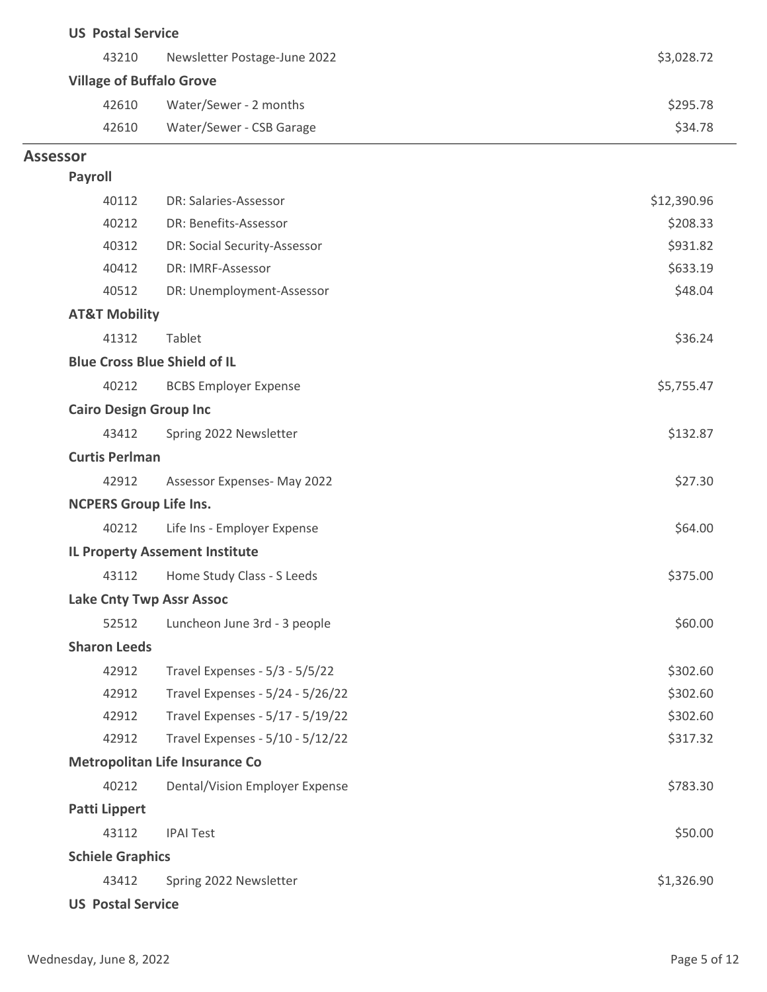| \$3,028.72<br>43210<br>Newsletter Postage-June 2022<br><b>Village of Buffalo Grove</b><br>Water/Sewer - 2 months<br>42610<br>\$295.78<br>\$34.78<br>42610<br>Water/Sewer - CSB Garage<br><b>Assessor</b><br>Payroll<br>40112<br>\$12,390.96<br>DR: Salaries-Assessor<br>DR: Benefits-Assessor<br>40212<br>\$208.33<br>40312<br>\$931.82<br>DR: Social Security-Assessor<br>40412<br>DR: IMRF-Assessor<br>\$633.19<br>\$48.04<br>40512<br>DR: Unemployment-Assessor<br><b>AT&amp;T Mobility</b><br>41312<br>Tablet<br>\$36.24<br><b>Blue Cross Blue Shield of IL</b><br>\$5,755.47<br>40212<br><b>BCBS Employer Expense</b><br><b>Cairo Design Group Inc</b><br>Spring 2022 Newsletter<br>\$132.87<br>43412<br><b>Curtis Perlman</b><br>\$27.30<br>42912<br>Assessor Expenses- May 2022<br><b>NCPERS Group Life Ins.</b><br>40212<br>Life Ins - Employer Expense<br>\$64.00<br><b>IL Property Assement Institute</b><br>Home Study Class - S Leeds<br>\$375.00<br>43112<br><b>Lake Cnty Twp Assr Assoc</b><br>\$60.00<br>52512<br>Luncheon June 3rd - 3 people<br><b>Sharon Leeds</b><br>Travel Expenses - 5/3 - 5/5/22<br>\$302.60<br>42912<br>42912<br>Travel Expenses - 5/24 - 5/26/22<br>\$302.60<br>Travel Expenses - 5/17 - 5/19/22<br>\$302.60<br>42912<br>Travel Expenses - 5/10 - 5/12/22<br>\$317.32<br>42912<br><b>Metropolitan Life Insurance Co</b><br>40212<br>Dental/Vision Employer Expense<br>\$783.30<br><b>Patti Lippert</b><br>\$50.00<br>43112<br><b>IPAI Test</b><br><b>Schiele Graphics</b><br>\$1,326.90<br>43412<br>Spring 2022 Newsletter<br><b>US Postal Service</b> | <b>US Postal Service</b> |  |  |
|------------------------------------------------------------------------------------------------------------------------------------------------------------------------------------------------------------------------------------------------------------------------------------------------------------------------------------------------------------------------------------------------------------------------------------------------------------------------------------------------------------------------------------------------------------------------------------------------------------------------------------------------------------------------------------------------------------------------------------------------------------------------------------------------------------------------------------------------------------------------------------------------------------------------------------------------------------------------------------------------------------------------------------------------------------------------------------------------------------------------------------------------------------------------------------------------------------------------------------------------------------------------------------------------------------------------------------------------------------------------------------------------------------------------------------------------------------------------------------------------------------------------------------------------------------------------------------------------|--------------------------|--|--|
|                                                                                                                                                                                                                                                                                                                                                                                                                                                                                                                                                                                                                                                                                                                                                                                                                                                                                                                                                                                                                                                                                                                                                                                                                                                                                                                                                                                                                                                                                                                                                                                                |                          |  |  |
|                                                                                                                                                                                                                                                                                                                                                                                                                                                                                                                                                                                                                                                                                                                                                                                                                                                                                                                                                                                                                                                                                                                                                                                                                                                                                                                                                                                                                                                                                                                                                                                                |                          |  |  |
|                                                                                                                                                                                                                                                                                                                                                                                                                                                                                                                                                                                                                                                                                                                                                                                                                                                                                                                                                                                                                                                                                                                                                                                                                                                                                                                                                                                                                                                                                                                                                                                                |                          |  |  |
|                                                                                                                                                                                                                                                                                                                                                                                                                                                                                                                                                                                                                                                                                                                                                                                                                                                                                                                                                                                                                                                                                                                                                                                                                                                                                                                                                                                                                                                                                                                                                                                                |                          |  |  |
|                                                                                                                                                                                                                                                                                                                                                                                                                                                                                                                                                                                                                                                                                                                                                                                                                                                                                                                                                                                                                                                                                                                                                                                                                                                                                                                                                                                                                                                                                                                                                                                                |                          |  |  |
|                                                                                                                                                                                                                                                                                                                                                                                                                                                                                                                                                                                                                                                                                                                                                                                                                                                                                                                                                                                                                                                                                                                                                                                                                                                                                                                                                                                                                                                                                                                                                                                                |                          |  |  |
|                                                                                                                                                                                                                                                                                                                                                                                                                                                                                                                                                                                                                                                                                                                                                                                                                                                                                                                                                                                                                                                                                                                                                                                                                                                                                                                                                                                                                                                                                                                                                                                                |                          |  |  |
|                                                                                                                                                                                                                                                                                                                                                                                                                                                                                                                                                                                                                                                                                                                                                                                                                                                                                                                                                                                                                                                                                                                                                                                                                                                                                                                                                                                                                                                                                                                                                                                                |                          |  |  |
|                                                                                                                                                                                                                                                                                                                                                                                                                                                                                                                                                                                                                                                                                                                                                                                                                                                                                                                                                                                                                                                                                                                                                                                                                                                                                                                                                                                                                                                                                                                                                                                                |                          |  |  |
|                                                                                                                                                                                                                                                                                                                                                                                                                                                                                                                                                                                                                                                                                                                                                                                                                                                                                                                                                                                                                                                                                                                                                                                                                                                                                                                                                                                                                                                                                                                                                                                                |                          |  |  |
|                                                                                                                                                                                                                                                                                                                                                                                                                                                                                                                                                                                                                                                                                                                                                                                                                                                                                                                                                                                                                                                                                                                                                                                                                                                                                                                                                                                                                                                                                                                                                                                                |                          |  |  |
|                                                                                                                                                                                                                                                                                                                                                                                                                                                                                                                                                                                                                                                                                                                                                                                                                                                                                                                                                                                                                                                                                                                                                                                                                                                                                                                                                                                                                                                                                                                                                                                                |                          |  |  |
|                                                                                                                                                                                                                                                                                                                                                                                                                                                                                                                                                                                                                                                                                                                                                                                                                                                                                                                                                                                                                                                                                                                                                                                                                                                                                                                                                                                                                                                                                                                                                                                                |                          |  |  |
|                                                                                                                                                                                                                                                                                                                                                                                                                                                                                                                                                                                                                                                                                                                                                                                                                                                                                                                                                                                                                                                                                                                                                                                                                                                                                                                                                                                                                                                                                                                                                                                                |                          |  |  |
|                                                                                                                                                                                                                                                                                                                                                                                                                                                                                                                                                                                                                                                                                                                                                                                                                                                                                                                                                                                                                                                                                                                                                                                                                                                                                                                                                                                                                                                                                                                                                                                                |                          |  |  |
|                                                                                                                                                                                                                                                                                                                                                                                                                                                                                                                                                                                                                                                                                                                                                                                                                                                                                                                                                                                                                                                                                                                                                                                                                                                                                                                                                                                                                                                                                                                                                                                                |                          |  |  |
|                                                                                                                                                                                                                                                                                                                                                                                                                                                                                                                                                                                                                                                                                                                                                                                                                                                                                                                                                                                                                                                                                                                                                                                                                                                                                                                                                                                                                                                                                                                                                                                                |                          |  |  |
|                                                                                                                                                                                                                                                                                                                                                                                                                                                                                                                                                                                                                                                                                                                                                                                                                                                                                                                                                                                                                                                                                                                                                                                                                                                                                                                                                                                                                                                                                                                                                                                                |                          |  |  |
|                                                                                                                                                                                                                                                                                                                                                                                                                                                                                                                                                                                                                                                                                                                                                                                                                                                                                                                                                                                                                                                                                                                                                                                                                                                                                                                                                                                                                                                                                                                                                                                                |                          |  |  |
|                                                                                                                                                                                                                                                                                                                                                                                                                                                                                                                                                                                                                                                                                                                                                                                                                                                                                                                                                                                                                                                                                                                                                                                                                                                                                                                                                                                                                                                                                                                                                                                                |                          |  |  |
|                                                                                                                                                                                                                                                                                                                                                                                                                                                                                                                                                                                                                                                                                                                                                                                                                                                                                                                                                                                                                                                                                                                                                                                                                                                                                                                                                                                                                                                                                                                                                                                                |                          |  |  |
|                                                                                                                                                                                                                                                                                                                                                                                                                                                                                                                                                                                                                                                                                                                                                                                                                                                                                                                                                                                                                                                                                                                                                                                                                                                                                                                                                                                                                                                                                                                                                                                                |                          |  |  |
|                                                                                                                                                                                                                                                                                                                                                                                                                                                                                                                                                                                                                                                                                                                                                                                                                                                                                                                                                                                                                                                                                                                                                                                                                                                                                                                                                                                                                                                                                                                                                                                                |                          |  |  |
|                                                                                                                                                                                                                                                                                                                                                                                                                                                                                                                                                                                                                                                                                                                                                                                                                                                                                                                                                                                                                                                                                                                                                                                                                                                                                                                                                                                                                                                                                                                                                                                                |                          |  |  |
|                                                                                                                                                                                                                                                                                                                                                                                                                                                                                                                                                                                                                                                                                                                                                                                                                                                                                                                                                                                                                                                                                                                                                                                                                                                                                                                                                                                                                                                                                                                                                                                                |                          |  |  |
|                                                                                                                                                                                                                                                                                                                                                                                                                                                                                                                                                                                                                                                                                                                                                                                                                                                                                                                                                                                                                                                                                                                                                                                                                                                                                                                                                                                                                                                                                                                                                                                                |                          |  |  |
|                                                                                                                                                                                                                                                                                                                                                                                                                                                                                                                                                                                                                                                                                                                                                                                                                                                                                                                                                                                                                                                                                                                                                                                                                                                                                                                                                                                                                                                                                                                                                                                                |                          |  |  |
|                                                                                                                                                                                                                                                                                                                                                                                                                                                                                                                                                                                                                                                                                                                                                                                                                                                                                                                                                                                                                                                                                                                                                                                                                                                                                                                                                                                                                                                                                                                                                                                                |                          |  |  |
|                                                                                                                                                                                                                                                                                                                                                                                                                                                                                                                                                                                                                                                                                                                                                                                                                                                                                                                                                                                                                                                                                                                                                                                                                                                                                                                                                                                                                                                                                                                                                                                                |                          |  |  |
|                                                                                                                                                                                                                                                                                                                                                                                                                                                                                                                                                                                                                                                                                                                                                                                                                                                                                                                                                                                                                                                                                                                                                                                                                                                                                                                                                                                                                                                                                                                                                                                                |                          |  |  |
|                                                                                                                                                                                                                                                                                                                                                                                                                                                                                                                                                                                                                                                                                                                                                                                                                                                                                                                                                                                                                                                                                                                                                                                                                                                                                                                                                                                                                                                                                                                                                                                                |                          |  |  |
|                                                                                                                                                                                                                                                                                                                                                                                                                                                                                                                                                                                                                                                                                                                                                                                                                                                                                                                                                                                                                                                                                                                                                                                                                                                                                                                                                                                                                                                                                                                                                                                                |                          |  |  |
|                                                                                                                                                                                                                                                                                                                                                                                                                                                                                                                                                                                                                                                                                                                                                                                                                                                                                                                                                                                                                                                                                                                                                                                                                                                                                                                                                                                                                                                                                                                                                                                                |                          |  |  |
|                                                                                                                                                                                                                                                                                                                                                                                                                                                                                                                                                                                                                                                                                                                                                                                                                                                                                                                                                                                                                                                                                                                                                                                                                                                                                                                                                                                                                                                                                                                                                                                                |                          |  |  |
|                                                                                                                                                                                                                                                                                                                                                                                                                                                                                                                                                                                                                                                                                                                                                                                                                                                                                                                                                                                                                                                                                                                                                                                                                                                                                                                                                                                                                                                                                                                                                                                                |                          |  |  |
|                                                                                                                                                                                                                                                                                                                                                                                                                                                                                                                                                                                                                                                                                                                                                                                                                                                                                                                                                                                                                                                                                                                                                                                                                                                                                                                                                                                                                                                                                                                                                                                                |                          |  |  |
|                                                                                                                                                                                                                                                                                                                                                                                                                                                                                                                                                                                                                                                                                                                                                                                                                                                                                                                                                                                                                                                                                                                                                                                                                                                                                                                                                                                                                                                                                                                                                                                                |                          |  |  |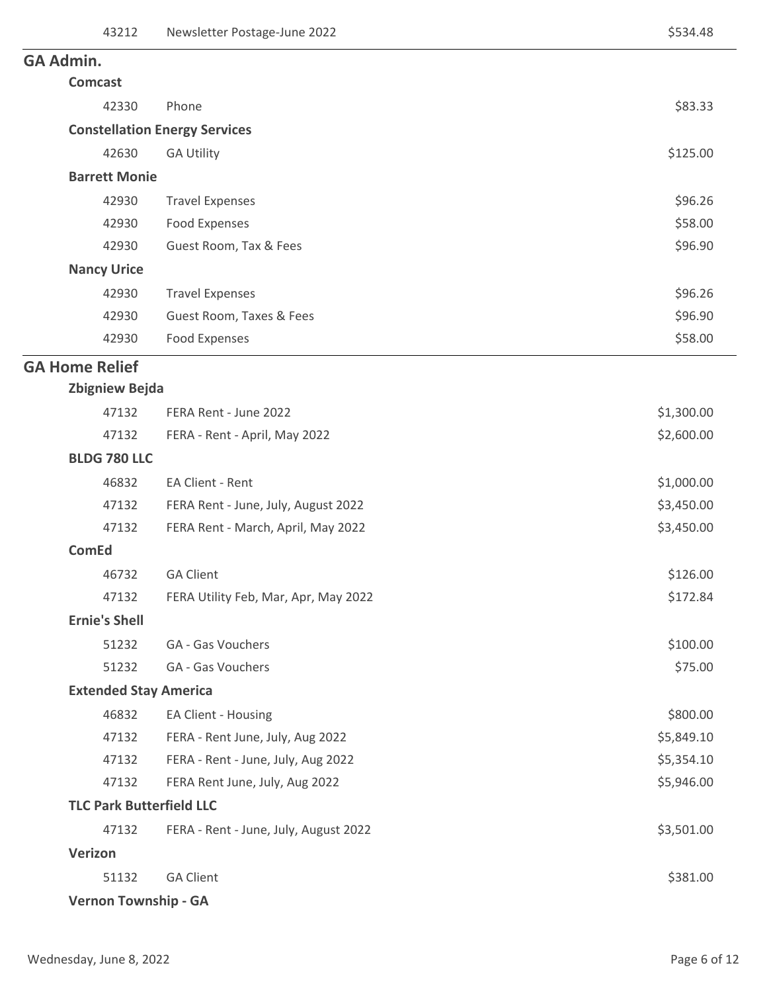# <sup>3</sup> **GA Admin.**

| <b>Comcast</b>       |                                      |          |
|----------------------|--------------------------------------|----------|
| 42330                | Phone                                | \$83.33  |
|                      | <b>Constellation Energy Services</b> |          |
| 42630                | <b>GA Utility</b>                    | \$125.00 |
| <b>Barrett Monie</b> |                                      |          |
| 42930                | <b>Travel Expenses</b>               | \$96.26  |
| 42930                | Food Expenses                        | \$58.00  |
| 42930                | Guest Room, Tax & Fees               | \$96.90  |
| <b>Nancy Urice</b>   |                                      |          |
| 42930                | <b>Travel Expenses</b>               | \$96.26  |
| 42930                | Guest Room, Taxes & Fees             | \$96.90  |
| 42930                | Food Expenses                        | \$58.00  |

## <sup>2</sup> **GA Home Relief**

| <b>Zbigniew Bejda</b> |  |
|-----------------------|--|
|-----------------------|--|

| 47132                | FERA Rent - June 2022                 | \$1,300.00 |  |  |
|----------------------|---------------------------------------|------------|--|--|
| 47132                | FERA - Rent - April, May 2022         | \$2,600.00 |  |  |
| <b>BLDG 780 LLC</b>  |                                       |            |  |  |
| 46832                | EA Client - Rent                      | \$1,000.00 |  |  |
| 47132                | FERA Rent - June, July, August 2022   | \$3,450.00 |  |  |
| 47132                | FERA Rent - March, April, May 2022    | \$3,450.00 |  |  |
| <b>ComEd</b>         |                                       |            |  |  |
| 46732                | <b>GA Client</b>                      | \$126.00   |  |  |
| 47132                | FERA Utility Feb, Mar, Apr, May 2022  | \$172.84   |  |  |
| <b>Ernie's Shell</b> |                                       |            |  |  |
| 51232                | GA - Gas Vouchers                     | \$100.00   |  |  |
| 51232                | GA - Gas Vouchers                     | \$75.00    |  |  |
|                      | <b>Extended Stay America</b>          |            |  |  |
| 46832                | EA Client - Housing                   | \$800.00   |  |  |
| 47132                | FERA - Rent June, July, Aug 2022      | \$5,849.10 |  |  |
| 47132                | FERA - Rent - June, July, Aug 2022    | \$5,354.10 |  |  |
| 47132                | FERA Rent June, July, Aug 2022        | \$5,946.00 |  |  |
|                      | <b>TLC Park Butterfield LLC</b>       |            |  |  |
| 47132                | FERA - Rent - June, July, August 2022 | \$3,501.00 |  |  |
| Verizon              |                                       |            |  |  |
| 51132                | <b>GA Client</b>                      | \$381.00   |  |  |
|                      | <b>Vernon Township - GA</b>           |            |  |  |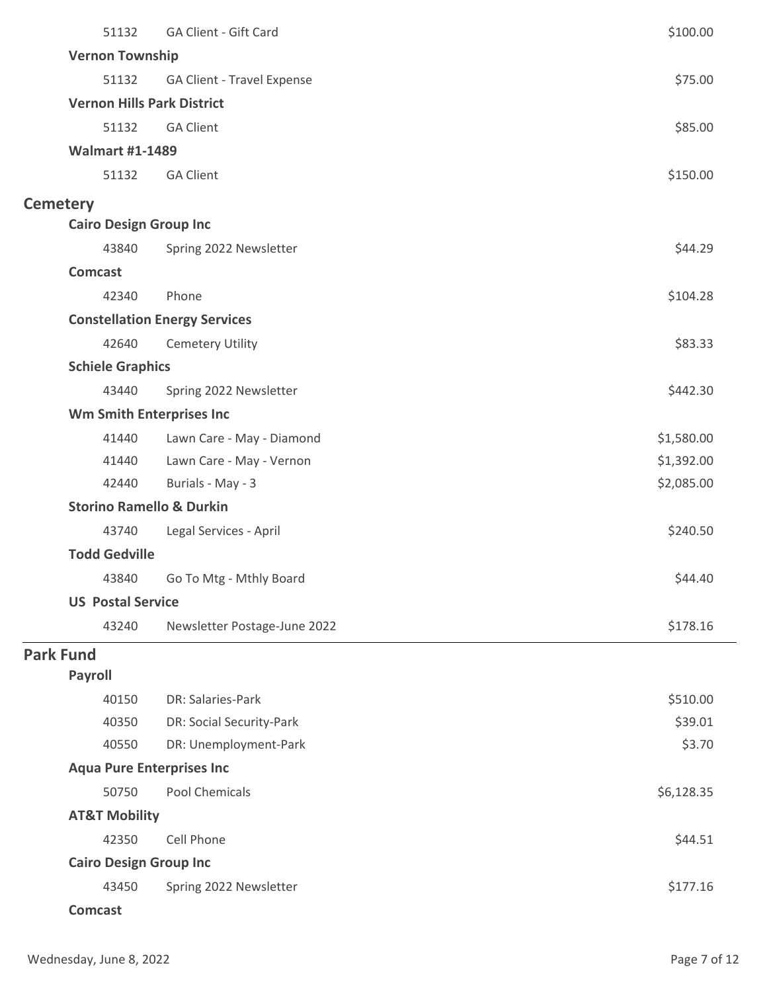|                  | 51132                               | GA Client - Gift Card                | \$100.00   |
|------------------|-------------------------------------|--------------------------------------|------------|
|                  | <b>Vernon Township</b>              |                                      |            |
|                  | 51132                               | GA Client - Travel Expense           | \$75.00    |
|                  | <b>Vernon Hills Park District</b>   |                                      |            |
|                  | 51132                               | <b>GA Client</b>                     | \$85.00    |
|                  | <b>Walmart #1-1489</b>              |                                      |            |
|                  | 51132                               | <b>GA Client</b>                     | \$150.00   |
| <b>Cemetery</b>  |                                     |                                      |            |
|                  | <b>Cairo Design Group Inc</b>       |                                      |            |
|                  | 43840                               | Spring 2022 Newsletter               | \$44.29    |
|                  | <b>Comcast</b>                      |                                      |            |
|                  | 42340                               | Phone                                | \$104.28   |
|                  |                                     | <b>Constellation Energy Services</b> |            |
|                  | 42640                               | <b>Cemetery Utility</b>              | \$83.33    |
|                  | <b>Schiele Graphics</b>             |                                      |            |
|                  | 43440                               | Spring 2022 Newsletter               | \$442.30   |
|                  | <b>Wm Smith Enterprises Inc</b>     |                                      |            |
|                  | 41440                               | Lawn Care - May - Diamond            | \$1,580.00 |
|                  | 41440                               | Lawn Care - May - Vernon             | \$1,392.00 |
|                  | 42440                               | Burials - May - 3                    | \$2,085.00 |
|                  | <b>Storino Ramello &amp; Durkin</b> |                                      |            |
|                  | 43740                               | Legal Services - April               | \$240.50   |
|                  | <b>Todd Gedville</b>                |                                      |            |
|                  | 43840                               | Go To Mtg - Mthly Board              | \$44.40    |
|                  | <b>US Postal Service</b>            |                                      |            |
|                  | 43240                               | Newsletter Postage-June 2022         | \$178.16   |
| <b>Park Fund</b> |                                     |                                      |            |
|                  | <b>Payroll</b>                      |                                      |            |
|                  | 40150                               | DR: Salaries-Park                    | \$510.00   |
|                  | 40350                               | DR: Social Security-Park             | \$39.01    |
|                  | 40550                               | DR: Unemployment-Park                | \$3.70     |
|                  | <b>Aqua Pure Enterprises Inc</b>    |                                      |            |
|                  | 50750                               | <b>Pool Chemicals</b>                | \$6,128.35 |
|                  | <b>AT&amp;T Mobility</b>            |                                      |            |
|                  | 42350                               | Cell Phone                           | \$44.51    |
|                  | <b>Cairo Design Group Inc</b>       |                                      |            |
|                  | 43450                               | Spring 2022 Newsletter               | \$177.16   |
|                  | <b>Comcast</b>                      |                                      |            |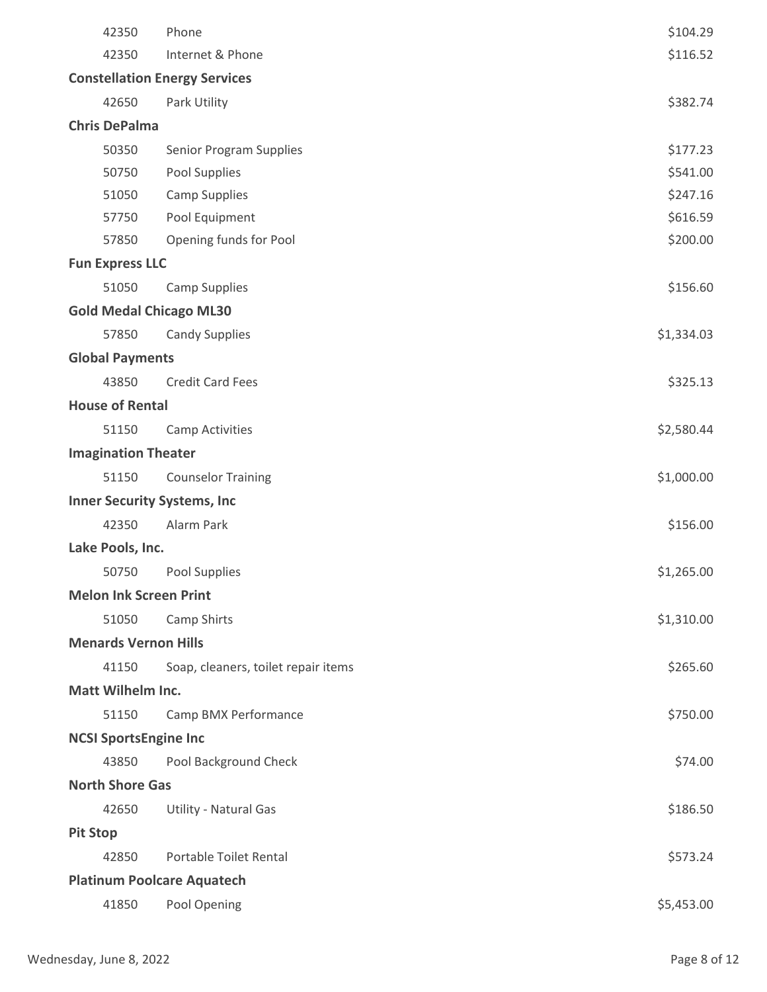|                                    | 42350                         | Phone                                | \$104.29   |
|------------------------------------|-------------------------------|--------------------------------------|------------|
|                                    | 42350                         | Internet & Phone                     | \$116.52   |
|                                    |                               | <b>Constellation Energy Services</b> |            |
|                                    | 42650                         | Park Utility                         | \$382.74   |
|                                    | <b>Chris DePalma</b>          |                                      |            |
|                                    | 50350                         | <b>Senior Program Supplies</b>       | \$177.23   |
|                                    | 50750                         | Pool Supplies                        | \$541.00   |
|                                    | 51050                         | <b>Camp Supplies</b>                 | \$247.16   |
|                                    | 57750                         | Pool Equipment                       | \$616.59   |
|                                    | 57850                         | Opening funds for Pool               | \$200.00   |
|                                    | <b>Fun Express LLC</b>        |                                      |            |
|                                    | 51050                         | <b>Camp Supplies</b>                 | \$156.60   |
|                                    |                               | <b>Gold Medal Chicago ML30</b>       |            |
|                                    | 57850                         | <b>Candy Supplies</b>                | \$1,334.03 |
|                                    | <b>Global Payments</b>        |                                      |            |
|                                    | 43850                         | <b>Credit Card Fees</b>              | \$325.13   |
|                                    | <b>House of Rental</b>        |                                      |            |
|                                    | 51150                         | <b>Camp Activities</b>               | \$2,580.44 |
|                                    | <b>Imagination Theater</b>    |                                      |            |
|                                    | 51150                         | <b>Counselor Training</b>            | \$1,000.00 |
| <b>Inner Security Systems, Inc</b> |                               |                                      |            |
|                                    | 42350                         | Alarm Park                           | \$156.00   |
|                                    | Lake Pools, Inc.              |                                      |            |
|                                    | 50750                         | Pool Supplies                        | \$1,265.00 |
|                                    | <b>Melon Ink Screen Print</b> |                                      |            |
|                                    | 51050                         | Camp Shirts                          | \$1,310.00 |
|                                    | <b>Menards Vernon Hills</b>   |                                      |            |
|                                    | 41150                         | Soap, cleaners, toilet repair items  | \$265.60   |
|                                    | <b>Matt Wilhelm Inc.</b>      |                                      |            |
|                                    | 51150                         | Camp BMX Performance                 | \$750.00   |
|                                    | <b>NCSI SportsEngine Inc</b>  |                                      |            |
|                                    | 43850                         | Pool Background Check                | \$74.00    |
|                                    | <b>North Shore Gas</b>        |                                      |            |
|                                    | 42650                         | Utility - Natural Gas                | \$186.50   |
| <b>Pit Stop</b>                    |                               |                                      |            |
|                                    | 42850                         | <b>Portable Toilet Rental</b>        | \$573.24   |
|                                    |                               | <b>Platinum Poolcare Aquatech</b>    |            |
|                                    | 41850                         | Pool Opening                         | \$5,453.00 |
|                                    |                               |                                      |            |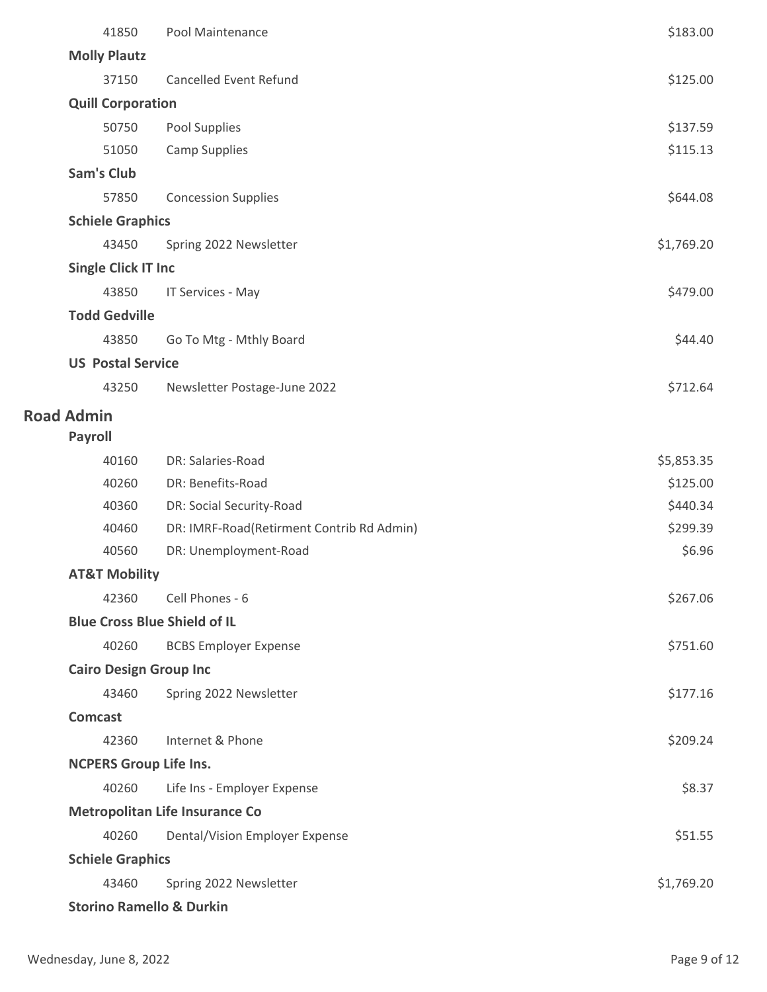| 41850                                 | Pool Maintenance                          | \$183.00   |
|---------------------------------------|-------------------------------------------|------------|
| <b>Molly Plautz</b>                   |                                           |            |
| 37150                                 | <b>Cancelled Event Refund</b>             | \$125.00   |
| <b>Quill Corporation</b>              |                                           |            |
| 50750                                 | Pool Supplies                             | \$137.59   |
| 51050                                 | <b>Camp Supplies</b>                      | \$115.13   |
| <b>Sam's Club</b>                     |                                           |            |
| 57850                                 | <b>Concession Supplies</b>                | \$644.08   |
| <b>Schiele Graphics</b>               |                                           |            |
| 43450                                 | Spring 2022 Newsletter                    | \$1,769.20 |
| <b>Single Click IT Inc</b>            |                                           |            |
| 43850                                 | IT Services - May                         | \$479.00   |
| <b>Todd Gedville</b>                  |                                           |            |
| 43850                                 | Go To Mtg - Mthly Board                   | \$44.40    |
| <b>US Postal Service</b>              |                                           |            |
| 43250                                 | Newsletter Postage-June 2022              | \$712.64   |
| <b>Road Admin</b>                     |                                           |            |
| <b>Payroll</b>                        |                                           |            |
| 40160                                 | DR: Salaries-Road                         | \$5,853.35 |
| 40260                                 | DR: Benefits-Road                         | \$125.00   |
| 40360                                 | DR: Social Security-Road                  | \$440.34   |
| 40460                                 | DR: IMRF-Road(Retirment Contrib Rd Admin) | \$299.39   |
| 40560                                 | DR: Unemployment-Road                     | \$6.96     |
| <b>AT&amp;T Mobility</b>              |                                           |            |
| 42360                                 | Cell Phones - 6                           | \$267.06   |
| <b>Blue Cross Blue Shield of IL</b>   |                                           |            |
| 40260                                 | <b>BCBS Employer Expense</b>              | \$751.60   |
| <b>Cairo Design Group Inc</b>         |                                           |            |
| 43460                                 | Spring 2022 Newsletter                    | \$177.16   |
| <b>Comcast</b>                        |                                           |            |
| 42360                                 | Internet & Phone                          | \$209.24   |
| <b>NCPERS Group Life Ins.</b>         |                                           |            |
| 40260                                 | Life Ins - Employer Expense               | \$8.37     |
| <b>Metropolitan Life Insurance Co</b> |                                           |            |
| 40260                                 | Dental/Vision Employer Expense            | \$51.55    |
| <b>Schiele Graphics</b>               |                                           |            |
| 43460                                 | Spring 2022 Newsletter                    | \$1,769.20 |
| <b>Storino Ramello &amp; Durkin</b>   |                                           |            |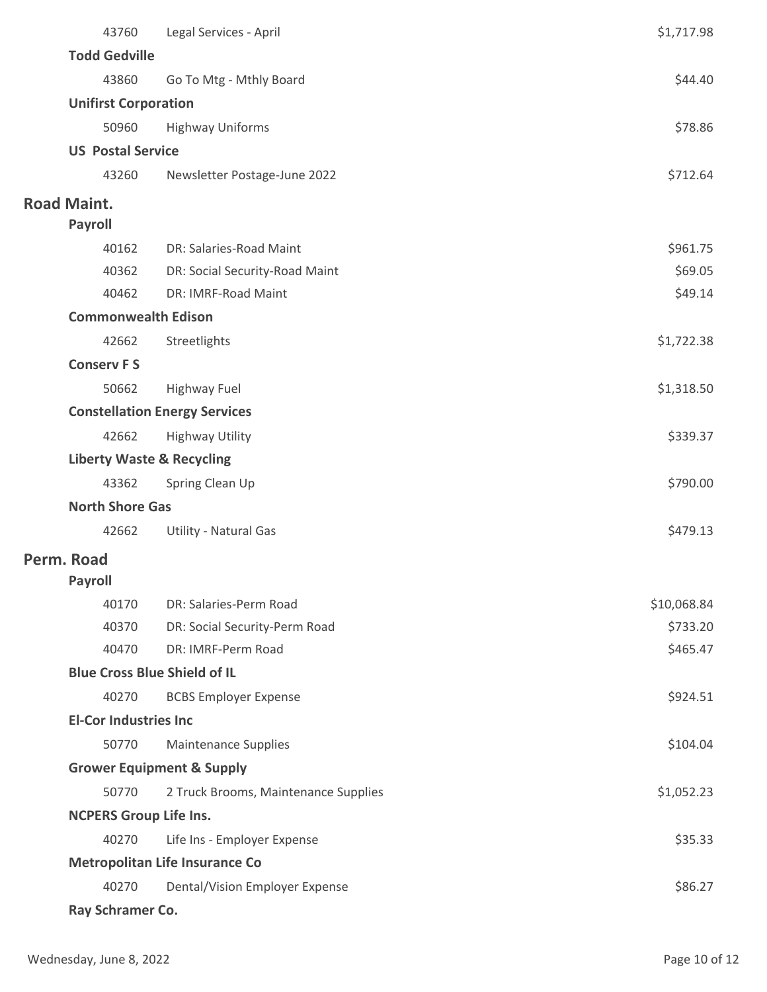| 43760                                 | Legal Services - April               | \$1,717.98  |  |
|---------------------------------------|--------------------------------------|-------------|--|
| <b>Todd Gedville</b>                  |                                      |             |  |
| 43860                                 | Go To Mtg - Mthly Board              | \$44.40     |  |
| <b>Unifirst Corporation</b>           |                                      |             |  |
| 50960                                 | <b>Highway Uniforms</b>              | \$78.86     |  |
| <b>US Postal Service</b>              |                                      |             |  |
| 43260                                 | Newsletter Postage-June 2022         | \$712.64    |  |
| <b>Road Maint.</b>                    |                                      |             |  |
| <b>Payroll</b>                        |                                      |             |  |
| 40162                                 | DR: Salaries-Road Maint              | \$961.75    |  |
| 40362                                 | DR: Social Security-Road Maint       | \$69.05     |  |
| 40462                                 | DR: IMRF-Road Maint                  | \$49.14     |  |
| <b>Commonwealth Edison</b>            |                                      |             |  |
| 42662                                 | Streetlights                         | \$1,722.38  |  |
| <b>Conserv FS</b>                     |                                      |             |  |
| 50662                                 | <b>Highway Fuel</b>                  | \$1,318.50  |  |
|                                       | <b>Constellation Energy Services</b> |             |  |
| 42662                                 | <b>Highway Utility</b>               | \$339.37    |  |
| <b>Liberty Waste &amp; Recycling</b>  |                                      |             |  |
| 43362                                 | Spring Clean Up                      | \$790.00    |  |
| <b>North Shore Gas</b>                |                                      |             |  |
| 42662                                 | Utility - Natural Gas                | \$479.13    |  |
| Perm. Road                            |                                      |             |  |
| <b>Payroll</b>                        |                                      |             |  |
| 40170                                 | DR: Salaries-Perm Road               | \$10,068.84 |  |
| 40370                                 | DR: Social Security-Perm Road        | \$733.20    |  |
| 40470                                 | DR: IMRF-Perm Road                   | \$465.47    |  |
| <b>Blue Cross Blue Shield of IL</b>   |                                      |             |  |
| 40270                                 | <b>BCBS Employer Expense</b>         | \$924.51    |  |
| <b>El-Cor Industries Inc</b>          |                                      |             |  |
| 50770                                 | <b>Maintenance Supplies</b>          | \$104.04    |  |
|                                       | <b>Grower Equipment &amp; Supply</b> |             |  |
| 50770                                 | 2 Truck Brooms, Maintenance Supplies | \$1,052.23  |  |
| <b>NCPERS Group Life Ins.</b>         |                                      |             |  |
| 40270                                 | Life Ins - Employer Expense          | \$35.33     |  |
| <b>Metropolitan Life Insurance Co</b> |                                      |             |  |
| 40270                                 | Dental/Vision Employer Expense       | \$86.27     |  |
| Ray Schramer Co.                      |                                      |             |  |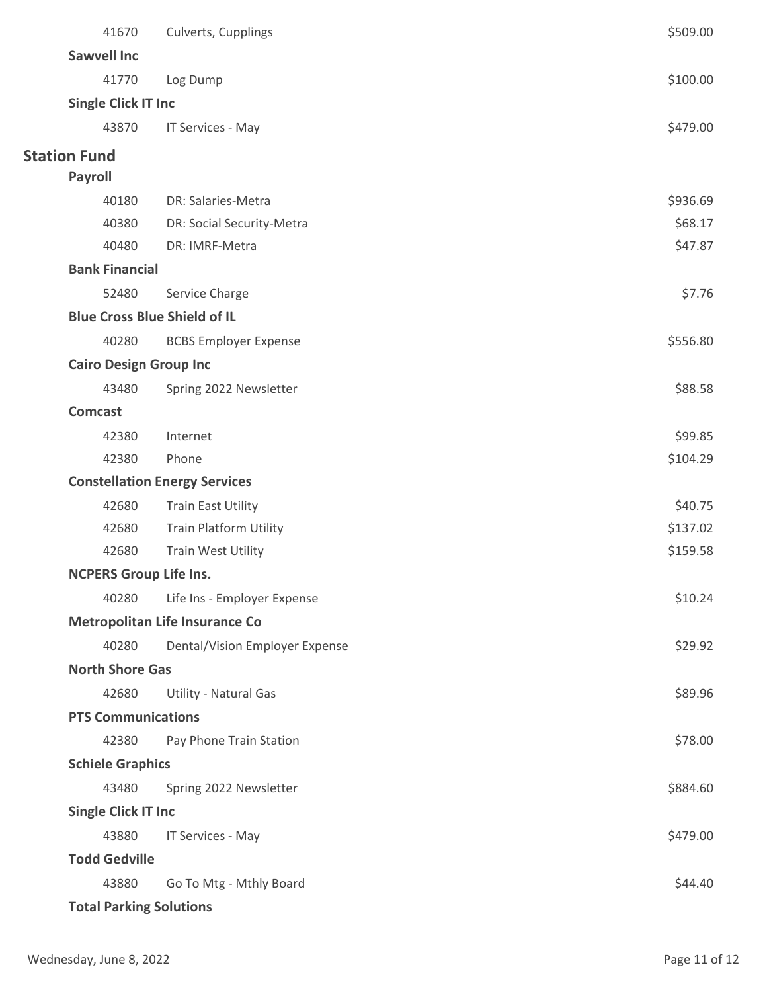| 41670                               | Culverts, Cupplings                   | \$509.00 |  |
|-------------------------------------|---------------------------------------|----------|--|
| <b>Sawvell Inc</b>                  |                                       |          |  |
| 41770                               | Log Dump                              | \$100.00 |  |
| <b>Single Click IT Inc</b>          |                                       |          |  |
| 43870                               | IT Services - May                     | \$479.00 |  |
| <b>Station Fund</b>                 |                                       |          |  |
| <b>Payroll</b>                      |                                       |          |  |
| 40180                               | DR: Salaries-Metra                    | \$936.69 |  |
| 40380                               | DR: Social Security-Metra             | \$68.17  |  |
| 40480                               | DR: IMRF-Metra                        | \$47.87  |  |
| <b>Bank Financial</b>               |                                       |          |  |
| 52480                               | Service Charge                        | \$7.76   |  |
| <b>Blue Cross Blue Shield of IL</b> |                                       |          |  |
| 40280                               | <b>BCBS Employer Expense</b>          | \$556.80 |  |
| <b>Cairo Design Group Inc</b>       |                                       |          |  |
| 43480                               | Spring 2022 Newsletter                | \$88.58  |  |
| <b>Comcast</b>                      |                                       |          |  |
| 42380                               | Internet                              | \$99.85  |  |
| 42380                               | Phone                                 | \$104.29 |  |
|                                     | <b>Constellation Energy Services</b>  |          |  |
| 42680                               | <b>Train East Utility</b>             | \$40.75  |  |
| 42680                               | <b>Train Platform Utility</b>         | \$137.02 |  |
| 42680                               | <b>Train West Utility</b>             | \$159.58 |  |
| <b>NCPERS Group Life Ins.</b>       |                                       |          |  |
| 40280                               | Life Ins - Employer Expense           | \$10.24  |  |
|                                     | <b>Metropolitan Life Insurance Co</b> |          |  |
| 40280                               | Dental/Vision Employer Expense        | \$29.92  |  |
| <b>North Shore Gas</b>              |                                       |          |  |
| 42680                               | Utility - Natural Gas                 | \$89.96  |  |
| <b>PTS Communications</b>           |                                       |          |  |
| 42380                               | Pay Phone Train Station               | \$78.00  |  |
| <b>Schiele Graphics</b>             |                                       |          |  |
| 43480                               | Spring 2022 Newsletter                | \$884.60 |  |
| <b>Single Click IT Inc</b>          |                                       |          |  |
| 43880                               | IT Services - May                     | \$479.00 |  |
| <b>Todd Gedville</b>                |                                       |          |  |
| 43880                               | Go To Mtg - Mthly Board               | \$44.40  |  |
| <b>Total Parking Solutions</b>      |                                       |          |  |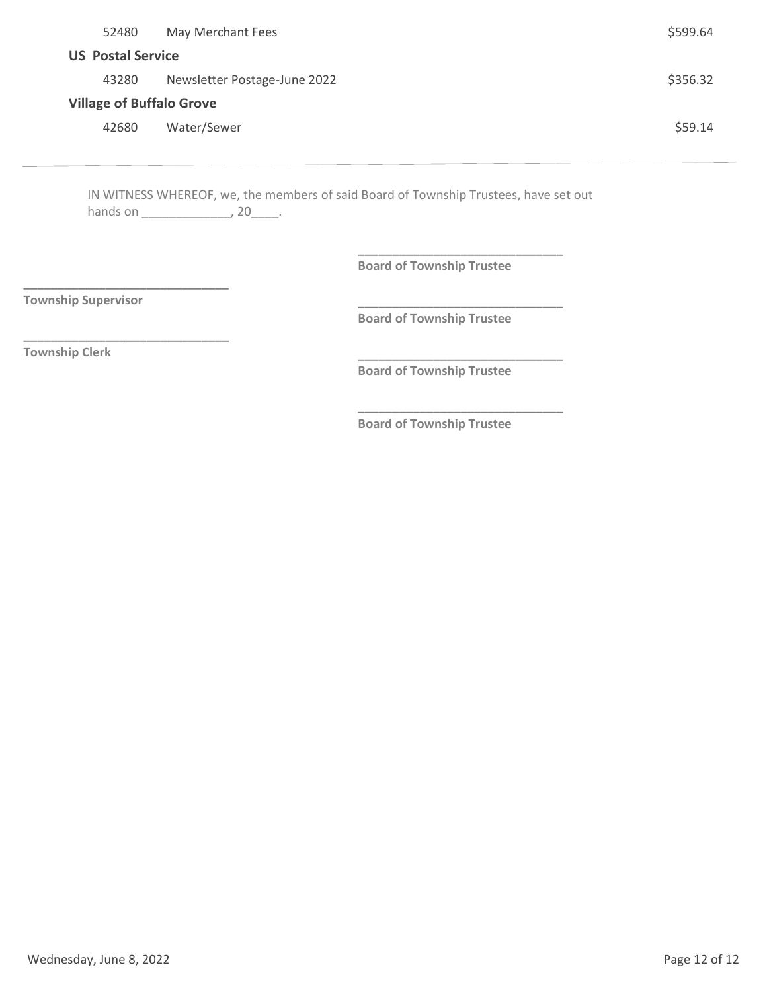| 52480                           | May Merchant Fees            | \$599.64 |
|---------------------------------|------------------------------|----------|
| <b>US Postal Service</b>        |                              |          |
| 43280                           | Newsletter Postage-June 2022 | \$356.32 |
| <b>Village of Buffalo Grove</b> |                              |          |
| 42680                           | Water/Sewer                  | \$59.14  |
|                                 |                              |          |

IN WITNESS WHEREOF, we, the members of said Board of Township Trustees, have set out hands on \_\_\_\_\_\_\_\_\_\_\_\_\_\_\_\_\_\_\_\_\_, 20\_\_\_\_\_\_.

**Board of Township Trustee**

**\_\_\_\_\_\_\_\_\_\_\_\_\_\_\_\_\_\_\_\_\_\_\_\_\_\_\_\_\_\_**

**\_\_\_\_\_\_\_\_\_\_\_\_\_\_\_\_\_\_\_\_\_\_\_\_\_\_\_\_\_\_**

**\_\_\_\_\_\_\_\_\_\_\_\_\_\_\_\_\_\_\_\_\_\_\_\_\_\_\_\_\_\_**

**\_\_\_\_\_\_\_\_\_\_\_\_\_\_\_\_\_\_\_\_\_\_\_\_\_\_\_\_\_\_**

**Township Supervisor**

**\_\_\_\_\_\_\_\_\_\_\_\_\_\_\_\_\_\_\_\_\_\_\_\_\_\_\_\_\_\_**

**\_\_\_\_\_\_\_\_\_\_\_\_\_\_\_\_\_\_\_\_\_\_\_\_\_\_\_\_\_\_**

**Board of Township Trustee**

**Township Clerk**

**Board of Township Trustee**

**Board of Township Trustee**